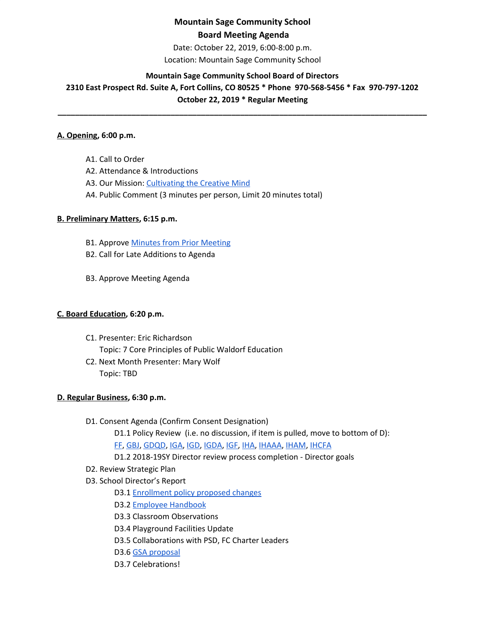## **Mountain Sage Community School Board Meeting Agenda**

Date: October 22, 2019, 6:00-8:00 p.m.

Location: Mountain Sage Community School

#### **Mountain Sage Community School Board of Directors**

**2310 East Prospect Rd. Suite A, Fort Collins, CO 80525 \* Phone 970-568-5456 \* Fax 970-797-1202 October 22, 2019 \* Regular Meeting**

**\_\_\_\_\_\_\_\_\_\_\_\_\_\_\_\_\_\_\_\_\_\_\_\_\_\_\_\_\_\_\_\_\_\_\_\_\_\_\_\_\_\_\_\_\_\_\_\_\_\_\_\_\_\_\_\_\_\_\_\_\_\_\_\_\_\_\_\_\_\_\_\_\_\_\_\_\_\_\_\_\_\_\_\_\_**

## **A. Opening, 6:00 p.m.**

A1. Call to Order

- A2. Attendance & Introductions
- A3. Our Mission: [Cultivating](http://www.mountainsage.org/mission-and-vision.html) the Creative Mind
- A4. Public Comment (3 minutes per person, Limit 20 minutes total)

### **B. Preliminary Matters, 6:15 p.m.**

- **B1. Approve Minutes from Prior [Meeting](https://drive.google.com/open?id=1AB_9MK_CLmiJ608SWjFNUY-bq4oDG6-lttwF9Ma53Sg)**
- B2. Call for Late Additions to Agenda
- B3. Approve Meeting Agenda

### **C. Board Education, 6:20 p.m.**

- C1. Presenter: Eric Richardson Topic: 7 Core Principles of Public Waldorf Education
- C2. Next Month Presenter: Mary Wolf Topic: TBD

### **D. Regular Business, 6:30 p.m.**

- D1. Consent Agenda (Confirm Consent Designation)
	- D1.1 Policy Review (i.e. no discussion, if item is pulled, move to bottom of D): [FF](https://docs.google.com/document/d/1wvhPpw1TIlT3BPkx0UeBEIe1-nm-28PfjHSB3lAQCmU/edit?usp=sharing), [GBJ,](https://docs.google.com/document/d/1zBGL0j3BZn_8a9fgGaW4crvN8HBLy67ztJIEoGRNvtQ/edit?usp=sharing) [GDQD](https://docs.google.com/document/d/1Ewwb0RIPZasF4ZmW7YUI-MQyvjgK7_aGBF7_874vNm8/edit?usp=sharing), [IGA](https://docs.google.com/document/d/17V0SGbIQdLADRZ5pwr_sr0Dl9RI-k8U9fvpsVhO2Cso/edit?usp=sharing), [IGD,](https://docs.google.com/document/d/1dp0fAXOoFv1_XlJI0FYOgRRxLkpDFmdC1HH8hRpezBg/edit?usp=sharing) [IGDA,](https://docs.google.com/document/d/1ONFLsWwDw5QlA0qGKI4D_B0HvphriPoS0YBWOq-vUs0/edit?usp=sharing) [IGF,](https://docs.google.com/document/d/1YBuMipv4-8akEC1rjji4WdzpHc0a9nuVUP8uPDaN7w8/edit?usp=sharing) [IHA](https://docs.google.com/document/d/1rMNshX07qFv68v2FzhCZDtcOTvdvQ8-phi6XyMGnv2A/edit?usp=sharing), [IHAAA,](https://docs.google.com/document/d/1xlJm6ixLUDJqZDQGiVACXLUDJtzvalcWKLaQw4-GgUw/edit?usp=sharing) [IHAM,](https://docs.google.com/document/d/11zeuCwFUM-QllrMIJ39ew-T-6ZkYHxv9TYQubr7V-qA/edit?usp=sharing) [IHCFA](https://docs.google.com/document/d/10NbkEDB9Nz3qTDc6M582pLionc-6at_1FG8EwkKddIw/edit?usp=sharing)
	- D1.2 2018-19SY Director review process completion Director goals
- D2. Review Strategic Plan
- D3. School Director's Report
	- D3.1 [Enrollment](https://drive.google.com/open?id=1RCgege_iEULqIn11icQOKkkZdI1n0mMBBnFZmjy73Zs) policy proposed changes
	- D3.2 Employee [Handbook](https://drive.google.com/open?id=1mt_yPDSffUzUzbCZ67a-qj2yYbE3rKlrKuFYog-IuE8)
	- D3.3 Classroom Observations
	- D3.4 Playground Facilities Update
	- D3.5 Collaborations with PSD, FC Charter Leaders
	- D3.6 GSA [proposal](https://drive.google.com/open?id=1wRTT0BAkUtqpFIyjZkVZm4muCeahmp07XVJtsfWsHGM)
	- D3.7 Celebrations!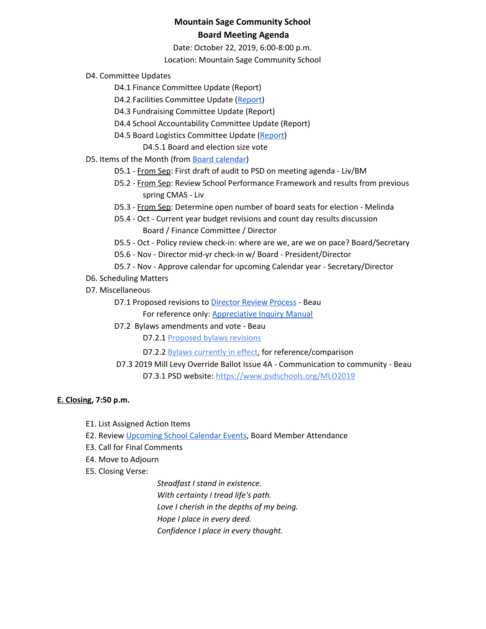## **Mountain Sage Community School Board Meeting Agenda**

Date: October 22, 2019, 6:00-8:00 p.m.

Location: Mountain Sage Community School

- D4. Committee Updates
	- D4.1 Finance Committee Update (Report)
	- D4.2 Facilities Committee Update [\(Report](https://docs.google.com/document/d/1ptW7i6NWteWfRSJHzSc4rM5JDltbOSINGPrVJqsWbzY/edit))
	- D4.3 Fundraising Committee Update (Report)
	- D4.4 School Accountability Committee Update (Report)
	- D4.5 Board Logistics Committee Update ([Report](https://drive.google.com/open?id=1fXsd6mqJPPaphZziE32P7s-G6M2dniqH))
		- D4.5.1 Board and election size vote
- D5. Items of the Month (from Board [calendar](https://docs.google.com/document/d/12S6s-qevYMsnj8Cr2yw6uMO7S7hL3gz2oKvXZk5ZndQ/edit?usp=sharing))
	- D5.1 From Sep: First draft of audit to PSD on meeting agenda Liv/BM
	- D5.2 From Sep: Review School Performance Framework and results from previous spring CMAS - Liv
	- D5.3 From Sep: Determine open number of board seats for election Melinda
	- D5.4 Oct Current year budget revisions and count day results discussion Board / Finance Committee / Director
	- D5.5 Oct Policy review check-in: where are we, are we on pace? Board/Secretary
	- D5.6 Nov Director mid-yr check-in w/ Board President/Director
	- D5.7 Nov Approve calendar for upcoming Calendar year Secretary/Director
- D6. Scheduling Matters
- D7. Miscellaneous
	- D7.1 Proposed revisions to [Director](https://docs.google.com/document/d/1UdgmXYE3posfh2bNuV6KAWxQvELogqQaY_AxWWZ-ydc/edit) Review Process Beau
		- For reference only: [Appreciative](https://docs.google.com/document/d/1YznlVi5hVyNAw7rf2JNoQuB41BtoqM9DBpsILGbzpuQ/edit) Inquiry Manual
	- D7.2 Bylaws amendments and vote Beau
		- D7.2.1 [Proposed](https://docs.google.com/document/d/18ly5zagJlFNgmPl4aDgzbKXqnwaEYzV4FFlG1qisgX8/edit) bylaws revisions
		- D7.2.2 [B](https://docs.google.com/document/d/1GUAkOMKgoAFg3fQ8wofZJ0Syml1wOjNPEp8sCpAqpgk/edit)ylaws [currently](https://docs.google.com/document/d/1GUAkOMKgoAFg3fQ8wofZJ0Syml1wOjNPEp8sCpAqpgk/edit) in effect, for reference/comparison
	- D7.3 2019 Mill Levy Override Ballot Issue 4A Communication to community Beau D7.3.1 PSD website[:](https://www.psdschools.org/MLO2019) <https://www.psdschools.org/MLO2019>

#### **E. Closing, 7:50 p.m.**

- E1. List Assigned Action Items
- E2. Review [Upcoming](https://www.mountainsage.org/calendar.html) School Calendar Events, Board Member Attendance
- E3. Call for Final Comments
- E4. Move to Adjourn
- E5. Closing Verse:

*Steadfast I stand in existence. With certainty I tread life's path. Love I cherish in the depths of my being. Hope I place in every deed. Confidence I place in every thought.*